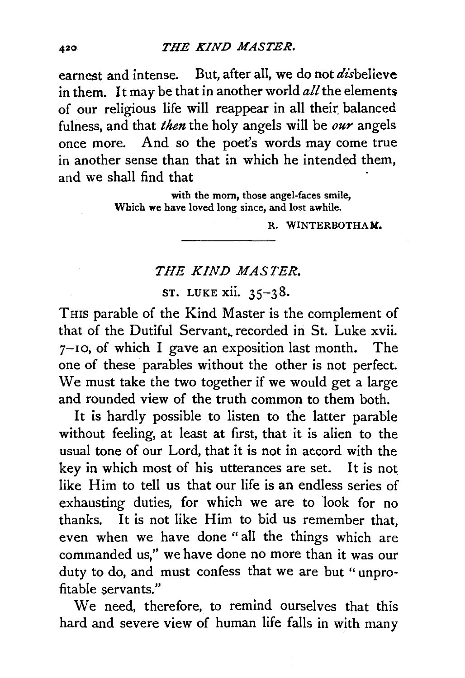earnest and intense. But, after all, we do not disbelieve in them. It may be that in another world *all* the elements of our religious life will reappear in all their balanced fulness, and that *then* the holy angels will be *our* angels once more. And so the poet's words may come true in another sense than that in which he intended them, and we shall find that

> with the mom, those angel-faces smile, Which we have loved long since, and lost awhile.

> > R. WINTERBOTHAM:,

*THE KIND MASTER.* 

ST. LUKE xii. 35-38.

THIS parable of the Kind Master is the complement of that of the Dutiful Servant, recorded in St. Luke xvii. 7-10, of which I gave an exposition last month. The one of these parables without the other is not perfect. We must take the two together if we would get a large and rounded view of the truth common to them both.

It is hardly possible to listen to the latter parable without feeling, at least at first, that it is alien to the usual tone of our Lord, that it is not in accord with the key in which most of his utterances are set. It is not like Him to tell us that our life is an endless series of exhausting duties, for which we are to look for no thanks. It is not like Him to bid us remember that, even when we have done "all the things which are commanded us," we have done no more than it was our duty to do, and must confess that we are but "unprofitable servants."

We need, therefore, to remind ourselves that this hard and severe view of human life falls in with many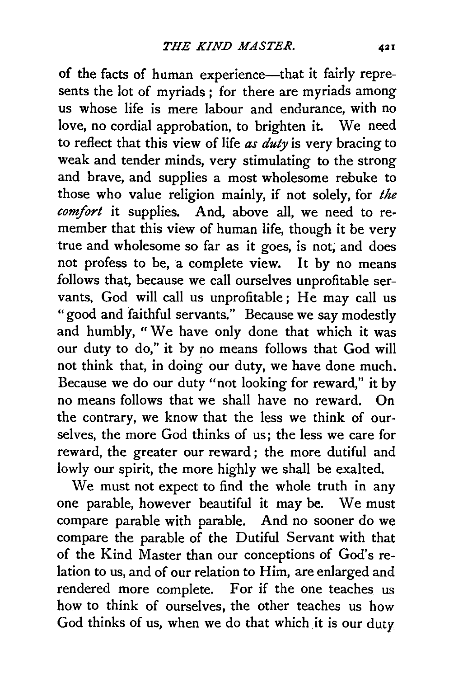of the facts of human experience—that it fairly represents the lot of myriads ; for there are myriads among us whose life is mere labour and endurance, with no love, no cordial approbation, to brighten it. We need to reflect that this view of life as *duty* is very bracing to weak and tender minds, very stimulating to the strong and brave, and supplies a most wholesome rebuke to those who value religion mainly, if not solely, for *the comfort* it supplies. And, above all, we need to remember that this view of human life, though it be very true and wholesome so far as it goes, is not, and does not profess to be, a complete view. It by no means follows that, because we call ourselves unprofitable servants, God will call us unprofitable ; He may call us "good and faithful servants." Because we say modestly and humbly, " We have only done that which it was our duty to do," it by no means follows that God will not think that, in doing our duty, we have done much. Because we do our duty "not looking for reward," it by no means follows that we shall have no reward. On the contrary, we know that the less we think of ourselves, the more God thinks of us; the less we care for reward, the greater our reward ; the more dutiful and lowly our spirit, the more highly we shall be exalted.

We must not expect to find the whole truth in any one parable, however beautiful it may be. We must compare parable with parable. And no sooner do we compare the parable of the Dutiful Servant with that of the Kind Master than our conceptions of God's relation to us, and of our relation to Him, are enlarged and rendered more complete. For if the one teaches us how to think of ourselves, the other teaches us how God thinks of us, when we do that which it is our duty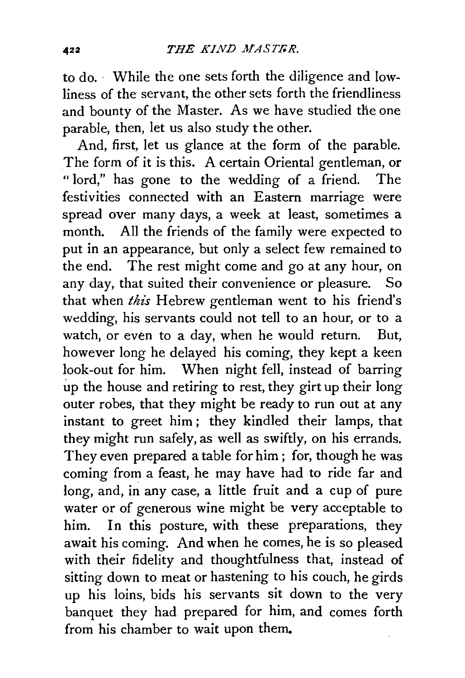to do. · While the one sets forth the diligence and lowliness of the servant, the other sets forth the friendliness and bounty of the Master. As we have studied the one parable, then, let us also study the other.

And, first, let us glance at the form of the parable. The form of it is this. A certain Oriental gentleman, or " lord," has gone to the wedding of a friend. The festivities connected with an Eastern marriage were spread over many days, a week at least, sometimes a month. All the friends of the family were expected to put in an appearance, but only a select few remained to the end. The rest might come and go at any hour, on any day, that suited their convenience or pleasure. So that when *this* Hebrew gentleman went to his friend's wedding, his servants could not tell to an hour, or to a watch, or even to a day, when he would return. But, however long he delayed his coming, they kept a keen look-out for him. When night fell, instead of barring up the house and retiring to rest, they girt up their long outer robes, that they might be ready to run out at any instant to greet him ; they kindled their lamps, that they might run safely, as well as swiftly, on his errands. They even prepared a table for him ; for, though he was coming from a feast, he may have had to ride far and long, and, in any case, a little fruit and a cup of pure water or of generous wine might be very acceptable to him. In this posture, with these preparations, they await his coming. And when he comes, he is so pleased with their fidelity and thoughtfulness that, instead of sitting down to meat or hastening to his couch, he girds up his loins, bids his servants sit down to the very banquet they had prepared for him, and comes forth from his chamber to wait upon them.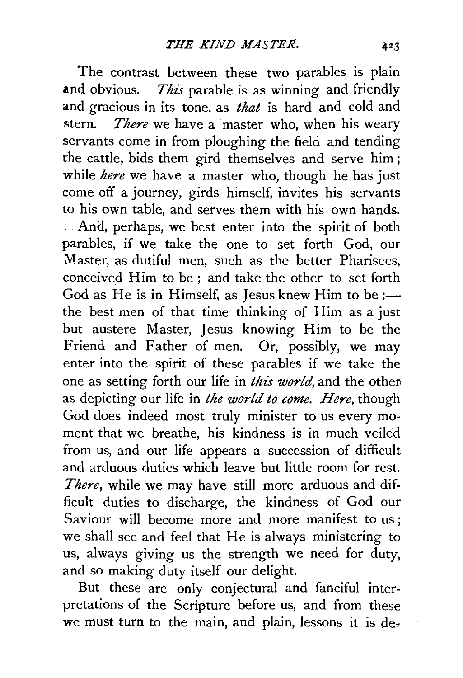The contrast between these two parables is plain and obvious. *This* parable is as winning and friendly and gracious in its tone, as *that* is hard and cold and stern. *There* we have a master who, when his weary servants come in from ploughing the field and tending the cattle, bids them gird themselves and serve him ; while *here* we have a master who, though he has just come off a journey, girds himself, invites his servants to his own table, and serves them with his own hands. . And, perhaps, we best enter into the spirit of both parables, if we take the one to set forth God, our Master, as dutiful men, such as the better Pharisees, conceived Him to be; and take the other to set forth God as He is in Himself, as Jesus knew Him to be: $$ the best men of that time thinking of Him as a just but austere Master, Jesus knowing Him to be the Friend and Father of men. Or, possibly, we may enter into the spirit of these parables if we take the one as setting forth our life in *this world,* and the other, as depicting our life in *the world to come. Here,* though God does indeed most truly minister to us every moment that we breathe, his kindness is in much veiled from us, and our life appears a succession of difficult and arduous duties which leave but little room for rest. *There,* while we may have still more arduous and difficult duties to discharge, the kindness of God our Saviour will become more and more manifest to us; we shall see and feel that He is always ministering to us, always giving us the strength we need for duty, and so making duty itself our delight.

But these are only conjectural and fanciful interpretations of the Scripture before us, and from these we must turn to the main, and plain, lessons it is de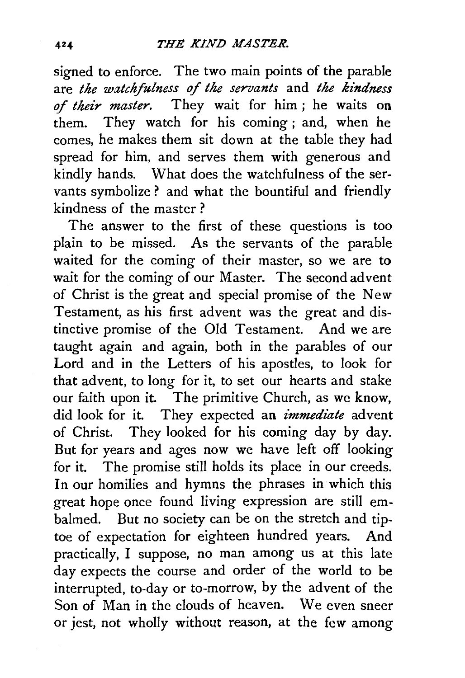signed to enforce. The two main points of the parable are *the watchfulness of the servants* and *the kindness*  of *their master.* They wait for him ; he waits on them. They watch for his coming ; and, when he comes, he makes them sit down at the table they had spread for him, and serves them with generous and kindly hands. What does the watchfulness of the servants symbolize ? and what the bountiful and friendly kindness of the master ?

The answer to the first of these questions is too plain to be missed. As the servants of the parable waited for the coming of their master, so we are to wait for the coming of our Master. The second advent of Christ is the great and special promise of the New Testament, as his first advent was the great and distinctive promise of the Old Testament. And we are taught again and again, both in the parables of our Lord and in the Letters of his apostles, to look for that advent, to long for it, to set our hearts and stake our faith upon it. The primitive Church, as we know, did look for it. They expected an *immediate* advent of Christ. They looked for his coming day by day. But for years and ages now we have left off looking for it. The promise still holds its place in our creeds. In our homilies and hymns the phrases in which this great hope once found living expression are still embalmed. But no society can be on the stretch and tiptoe of expectation for eighteen hundred years. And practically, I suppose, no man among us at this late day expects the course and order of the world to be interrupted, to-day or to-morrow, by the advent of the Son of Man in the clouds of heaven. We even sneer or jest, not wholly without reason, at the few among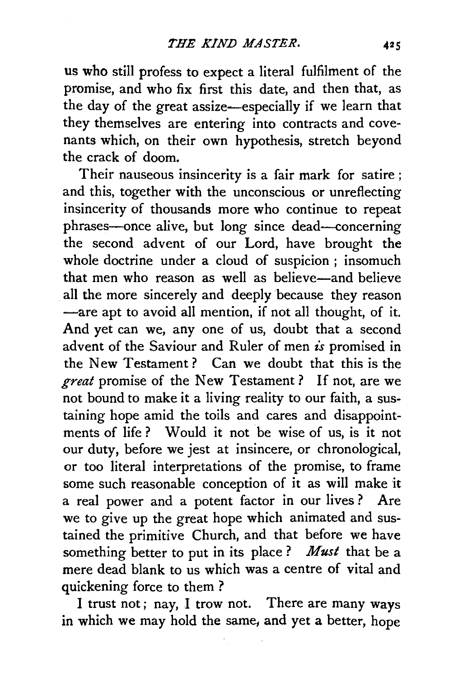us who still profess to expect a literal fulfilment of the promise, and who fix first this date, and then that, as the day of the great assize—especially if we learn that they themselves are entering into contracts and covenants which, on their own hypothesis, stretch beyond the crack of doom.

Their nauseous insincerity is a fair mark for satire ; and this, together with the unconscious or unreflecting insincerity of thousands more who continue to repeat phrases-once alive, but long since dead-concerning the second advent of our Lord, have brought the whole doctrine under a cloud of suspicion : insomuch that men who reason as well as believe-and believe all the more sincerely and deeply because they reason -are apt to avoid all mention, if not all thought, of it. And yet can we, any one of us, doubt that a second advent of the Saviour and Ruler of men *z's* promised in the New Testament? Can we doubt that this is the *great* promise of the New Testament? If not, are we not bound to make it a living reality to our faith, a sustaining hope amid the toils and cares and disappointments of life ? Would it not be wise of us, is it not our duty, before we jest at insincere, or chronological, or too literal interpretations of the promise, to frame some such reasonable conception of it as will make it a real power and a potent factor in our lives ? Are we to give up the great hope which animated and sustained the primitive Church, and that before we have something better to put in its place? *Must* that be a mere dead blank to us which was a centre of vital and quickening force to them ?

I trust not; nay, I trow not. There are many ways in which we may hold the same, and yet a better, hope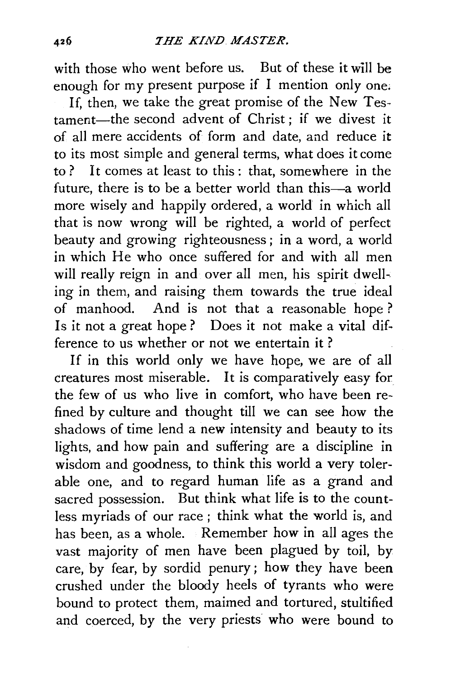with those who went before us. But of these it will be enough for my present purpose if I mention only one; If, then, we take the great promise of the New Testament-the second advent of Christ ; if we divest it of all mere accidents of form and date, and reduce it to its most simple and general terms, what does it come to ? It comes at least to this : that, somewhere in the future, there is to be a better world than this-a world more wisely and happily ordered, a world in which all that is now wrong will be righted, a world of perfect beauty and growing righteousness ; in a word, a world in which He who once suffered for and with all men will really reign in and over all men, his spirit dwelling in them, and raising them towards the true ideal of manhood. And is not that a reasonable hope ? Is it not a great hope? Does it not make a vital difference to us whether or not we entertain it ?

If in this world only we have hope, we are of all creatures most miserable. It is comparatively easy for the few of us who live in comfort, who have been refined by culture and thought till we can see how the shadows of time lend a new intensity and beauty to its lights, and how pain and suffering are a discipline in wisdom and goodness, to think this world a very tolerable one, and to regard human life as a grand and sacred possession. But think what life is to the countless myriads of our race ; think what the world is, and has been, as a whole. Remember how in all ages the vast majority of men have been plagued by toil, by care, by fear, by sordid penury; how they have been crushed under the bloody heels of tyrants who were bound to protect them, maimed and tortured, stultified and coerced, by the very priests who were bound to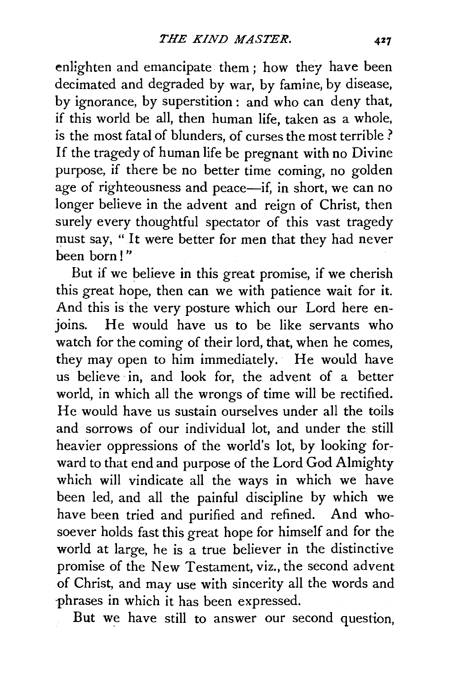enlighten and emancipate them; how they have been decimated and degraded by war, by famine, by disease, by ignorance, by superstition : and who can deny that, if this world be all, then human life, taken as a whole, is the most fatal of blunders, of curses the most terrible ? If the tragedy of human life be pregnant with no Divine purpose, if there be no better time coming, no golden age of righteousness and peace-if, in short, we can no longer believe in the advent and reign of Christ, then surely every thoughtful spectator of this vast tragedy must say, "It were better for men that they had never been born ! "

But if we believe in this great promise, if we cherish this great hope, then can we with patience wait for it. And this is the very posture which our Lord here enjoins. He would have us to be like servants who watch for the coming of their lord, that, when he comes, they may open to him immediately. He would have us believe in, and look for, the advent of a better world, in which all the wrongs of time will be rectified. He would have us sustain ourselves under all the toils and sorrows of our individual lot, and under the still heavier oppressions of the world's lot, by looking forward to that end and purpose of the Lord God Almighty which will vindicate all the ways in which we have been led, and all the painful discipline by which we have been tried and purified and refined. And whosoever holds fast this great hope for himself and for the world at large, he is a true believer in the distinctive promise of the New Testament, viz., the second advent of Christ, and may use with sincerity all the words and ~phrases in which it has been expressed.

But we have still to answer our second question,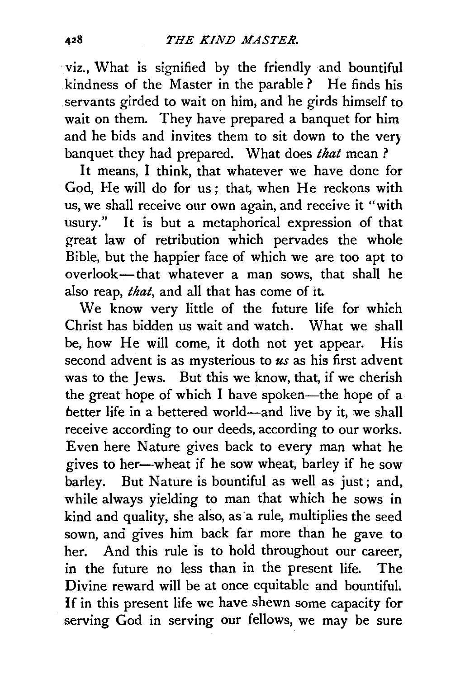viz., What is signified by the friendly and bountiful kindness of the Master in the parable ? He finds his servants girded to wait on him, and he girds himself to wait on them. They have prepared a banquet for him and he bids and invites them to sit down to the very banquet they had prepared. What does *that* mean?

It means, I think, that whatever we have done for God, He will do for us; that, when He reckons with us, we shall receive our own again, and receive it "with usury." It is but a metaphorical expression of that great law of retribution which pervades the whole Bible, but the happier face of which we are too apt to overlook-that whatever a man sows, that shall he also reap, *that,* and all that has come of it.

We know very little of the future life for which Christ has bidden us wait and watch. What we shall be, how He will come, it doth not yet appear. His second advent is as mysterious to *us* as his first advent was to the Jews. But this we know, that, if we cherish the great hope of which I have spoken---the hope of a better life in a bettered world-and live by it, we shall receive according to our deeds, according to our works. Even here Nature gives back to every man what he gives to her-wheat if he sow wheat, barley if he sow barley. But Nature is bountiful as well as just; and, while always yielding to man that which he sows in kind and quality, she also, as a rule, multiplies the seed sown, and gives him back far more than he gave to her. And this rule is to hold throughout our career, in the future no less than in the present life. The Divine reward will be at once equitable and bountiful. If in this present life we have shewn some capacity for serving God in serving our fellows, we may be sure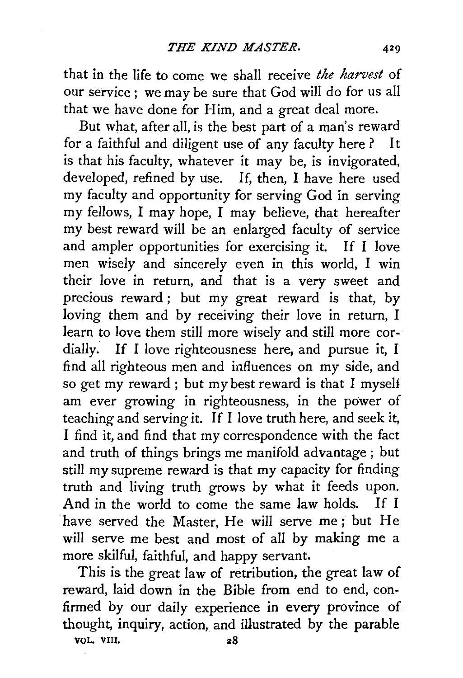that in the life to come we shall receive *the harvest* of our service; we may be sure that God will do for us all that we have done for Him, and a great deal more.

But what, after all, is the best part of a man's reward for a faithful and diligent use of any faculty here *?* It is that his faculty, whatever it may be, is invigorated, developed, refined by use. If, then, I have here used my faculty and opportunity for serving God in serving my fellows, I may hope, I may believe, that hereafter my best reward will be an enlarged faculty of service and ampler opportunities for exercising it. If I love men wisely and sincerely even in this world, I win their love in return, and that is a very sweet and precious reward ; but my great reward is that, by loving them and by receiving their love in return, I learn to love them still more wisely and still more cordially. If I love righteousness here, and pursue it, I find all righteous men and influences on my side, and so get my reward ; but my best reward is that I myself am ever growing in righteousness, in the power of teaching and serving it. If I love truth here, and seek it, I find it, and find that my correspondence with the fact and truth of things brings me manifold advantage ; but still my supreme reward is that my capacity for finding truth and living truth grows by what it feeds upon. And in the world to come the same law holds. If <sup>I</sup> have served the Master. He will serve me; but He will serve me best and most of all by making me a more skilful, faithful, and happy servant.

This is the great law of retribution, the great law of reward, laid down in the Bible from end to end, confirmed by our daily experience in every province of thought, inquiry, action, and illustrated by the parable VOL. VIII. 28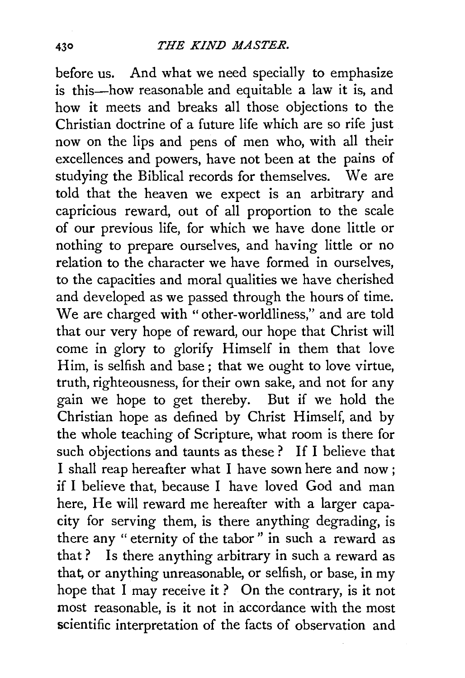before us. And what we need specially to emphasize is this-how reasonable and equitable a law it is, and how it meets and breaks all those objections to the Christian doctrine of a future life which are so rife just now on the lips and pens of men who, with all their excellences and powers, have not been at the pains of studying the Biblical records for themselves. We are told that the heaven we expect is an arbitrary and capricious reward, out of all proportion to the scale of our previous life, for which we have done little or nothing to prepare ourselves, and having little or no relation to the character we have formed in ourselves, to the capacities and moral qualities we have cherished and developed as we passed through the hours of time. We are charged with "other-worldliness," and are told that our very hope of reward, our hope that Christ will come in glory to glorify Himself in them that love Him, is selfish and base; that we ought to love virtue, truth, righteousness, for their own sake, and not for any gain we hope to get thereby. But if we hold the Christian hope as defined by Christ Himself, and by the whole teaching of Scripture, what room is there for such objections and taunts as these? If I believe that I shall reap hereafter what I have sown here and now; if I believe that, because I have loved God and man here, He will reward me hereafter with a larger capacity for serving them, is there anything degrading, is there any "eternity of the tabor" in such a reward as that? Is there anything arbitrary in such a reward as that, or anything unreasonable, or selfish, or base, in my hope that I may receive it ? On the contrary, is it not most reasonable, is it not in accordance with the most scientific interpretation of the facts of observation and